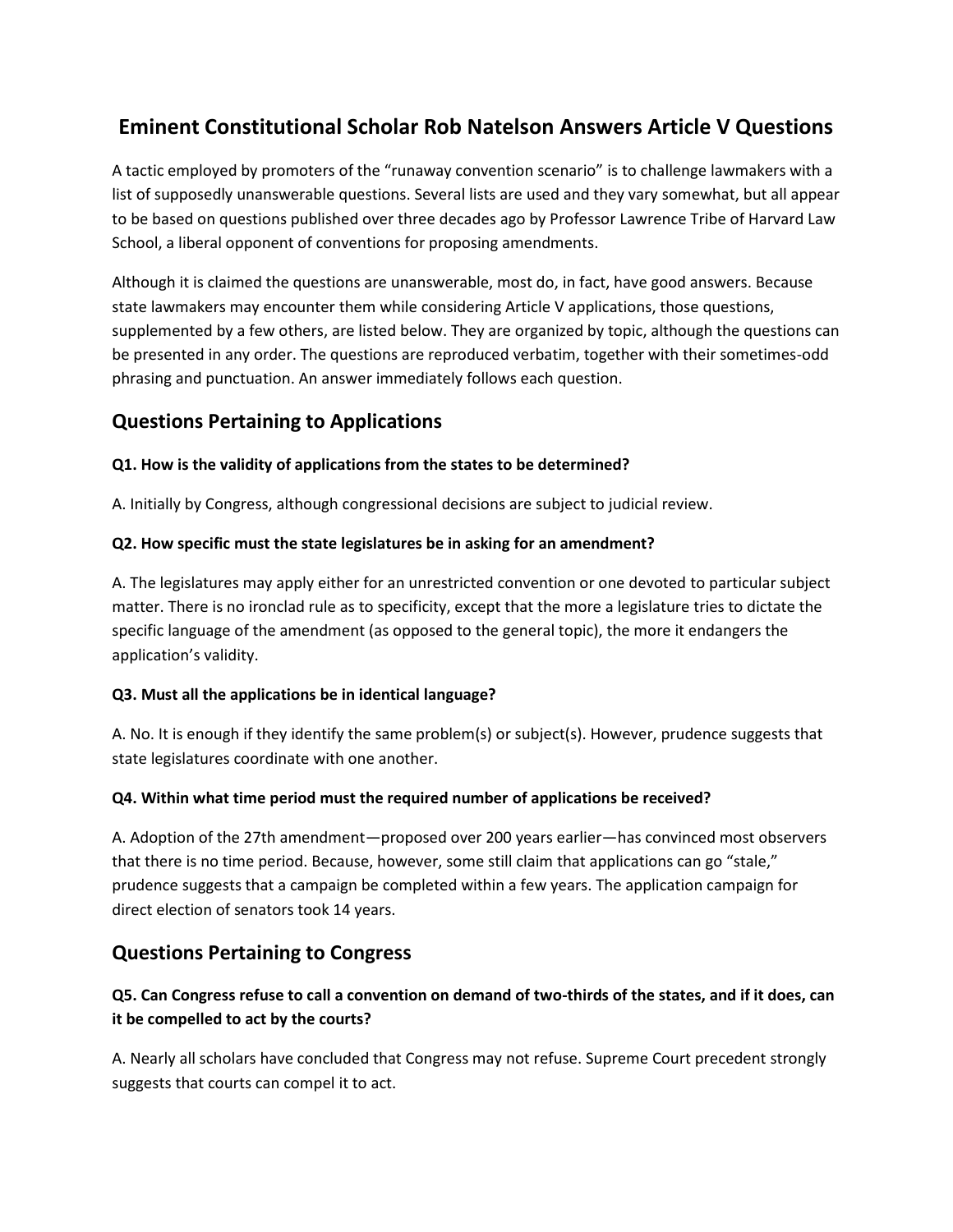# **Eminent Constitutional Scholar Rob Natelson Answers Article V Questions**

A tactic employed by promoters of the "runaway convention scenario" is to challenge lawmakers with a list of supposedly unanswerable questions. Several lists are used and they vary somewhat, but all appear to be based on questions published over three decades ago by Professor Lawrence Tribe of Harvard Law School, a liberal opponent of conventions for proposing amendments.

Although it is claimed the questions are unanswerable, most do, in fact, have good answers. Because state lawmakers may encounter them while considering Article V applications, those questions, supplemented by a few others, are listed below. They are organized by topic, although the questions can be presented in any order. The questions are reproduced verbatim, together with their sometimes-odd phrasing and punctuation. An answer immediately follows each question.

## **Questions Pertaining to Applications**

#### **Q1. How is the validity of applications from the states to be determined?**

A. Initially by Congress, although congressional decisions are subject to judicial review.

#### **Q2. How specific must the state legislatures be in asking for an amendment?**

A. The legislatures may apply either for an unrestricted convention or one devoted to particular subject matter. There is no ironclad rule as to specificity, except that the more a legislature tries to dictate the specific language of the amendment (as opposed to the general topic), the more it endangers the application's validity.

#### **Q3. Must all the applications be in identical language?**

A. No. It is enough if they identify the same problem(s) or subject(s). However, prudence suggests that state legislatures coordinate with one another.

#### **Q4. Within what time period must the required number of applications be received?**

A. Adoption of the 27th amendment—proposed over 200 years earlier—has convinced most observers that there is no time period. Because, however, some still claim that applications can go "stale," prudence suggests that a campaign be completed within a few years. The application campaign for direct election of senators took 14 years.

## **Questions Pertaining to Congress**

## **Q5. Can Congress refuse to call a convention on demand of two-thirds of the states, and if it does, can it be compelled to act by the courts?**

A. Nearly all scholars have concluded that Congress may not refuse. Supreme Court precedent strongly suggests that courts can compel it to act.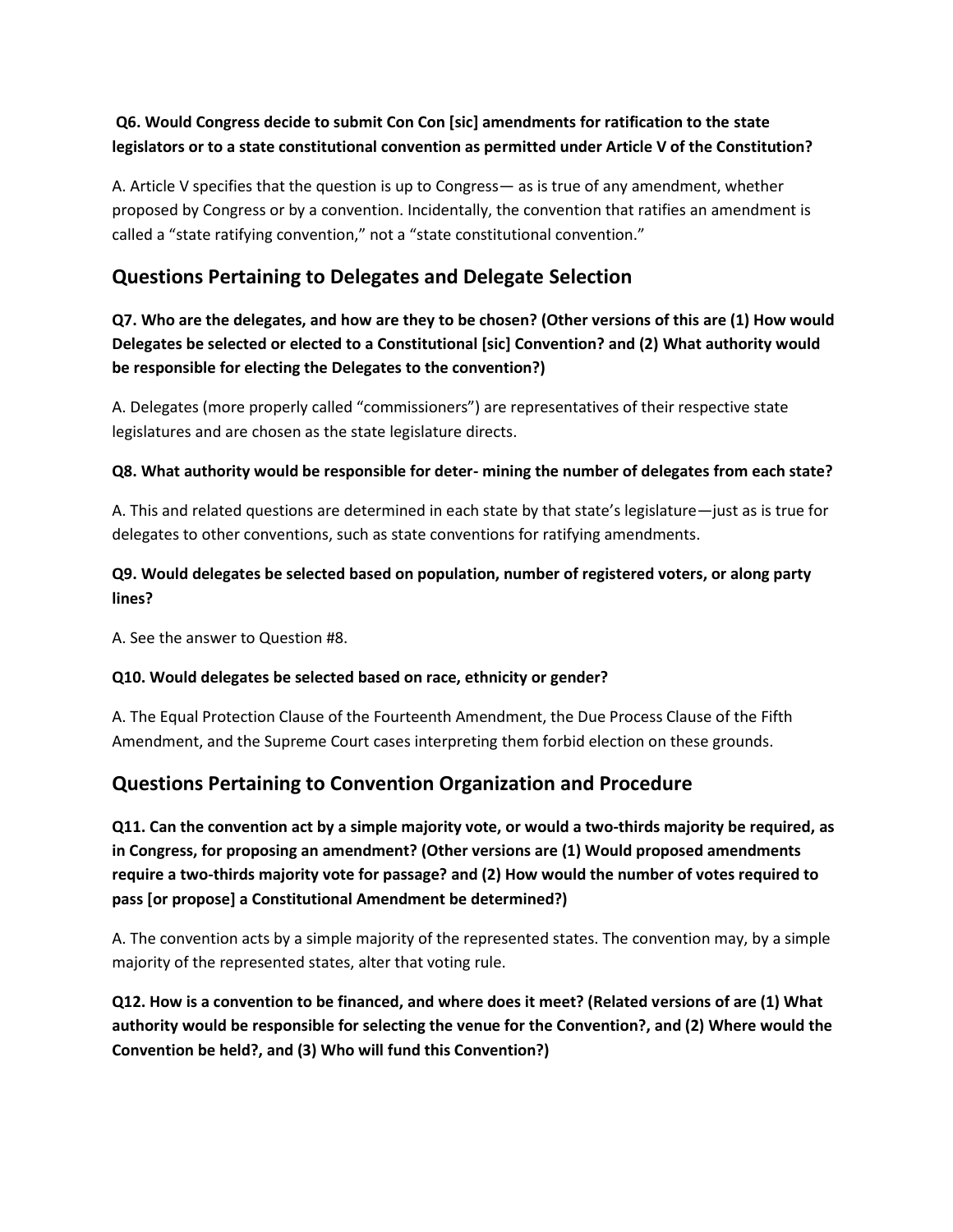## **Q6. Would Congress decide to submit Con Con [sic] amendments for ratification to the state legislators or to a state constitutional convention as permitted under Article V of the Constitution?**

A. Article V specifies that the question is up to Congress— as is true of any amendment, whether proposed by Congress or by a convention. Incidentally, the convention that ratifies an amendment is called a "state ratifying convention," not a "state constitutional convention."

## **Questions Pertaining to Delegates and Delegate Selection**

**Q7. Who are the delegates, and how are they to be chosen? (Other versions of this are (1) How would Delegates be selected or elected to a Constitutional [sic] Convention? and (2) What authority would be responsible for electing the Delegates to the convention?)**

A. Delegates (more properly called "commissioners") are representatives of their respective state legislatures and are chosen as the state legislature directs.

#### **Q8. What authority would be responsible for deter- mining the number of delegates from each state?**

A. This and related questions are determined in each state by that state's legislature—just as is true for delegates to other conventions, such as state conventions for ratifying amendments.

## **Q9. Would delegates be selected based on population, number of registered voters, or along party lines?**

A. See the answer to Question #8.

#### **Q10. Would delegates be selected based on race, ethnicity or gender?**

A. The Equal Protection Clause of the Fourteenth Amendment, the Due Process Clause of the Fifth Amendment, and the Supreme Court cases interpreting them forbid election on these grounds.

## **Questions Pertaining to Convention Organization and Procedure**

**Q11. Can the convention act by a simple majority vote, or would a two-thirds majority be required, as in Congress, for proposing an amendment? (Other versions are (1) Would proposed amendments require a two-thirds majority vote for passage? and (2) How would the number of votes required to pass [or propose] a Constitutional Amendment be determined?)**

A. The convention acts by a simple majority of the represented states. The convention may, by a simple majority of the represented states, alter that voting rule.

**Q12. How is a convention to be financed, and where does it meet? (Related versions of are (1) What authority would be responsible for selecting the venue for the Convention?, and (2) Where would the Convention be held?, and (3) Who will fund this Convention?)**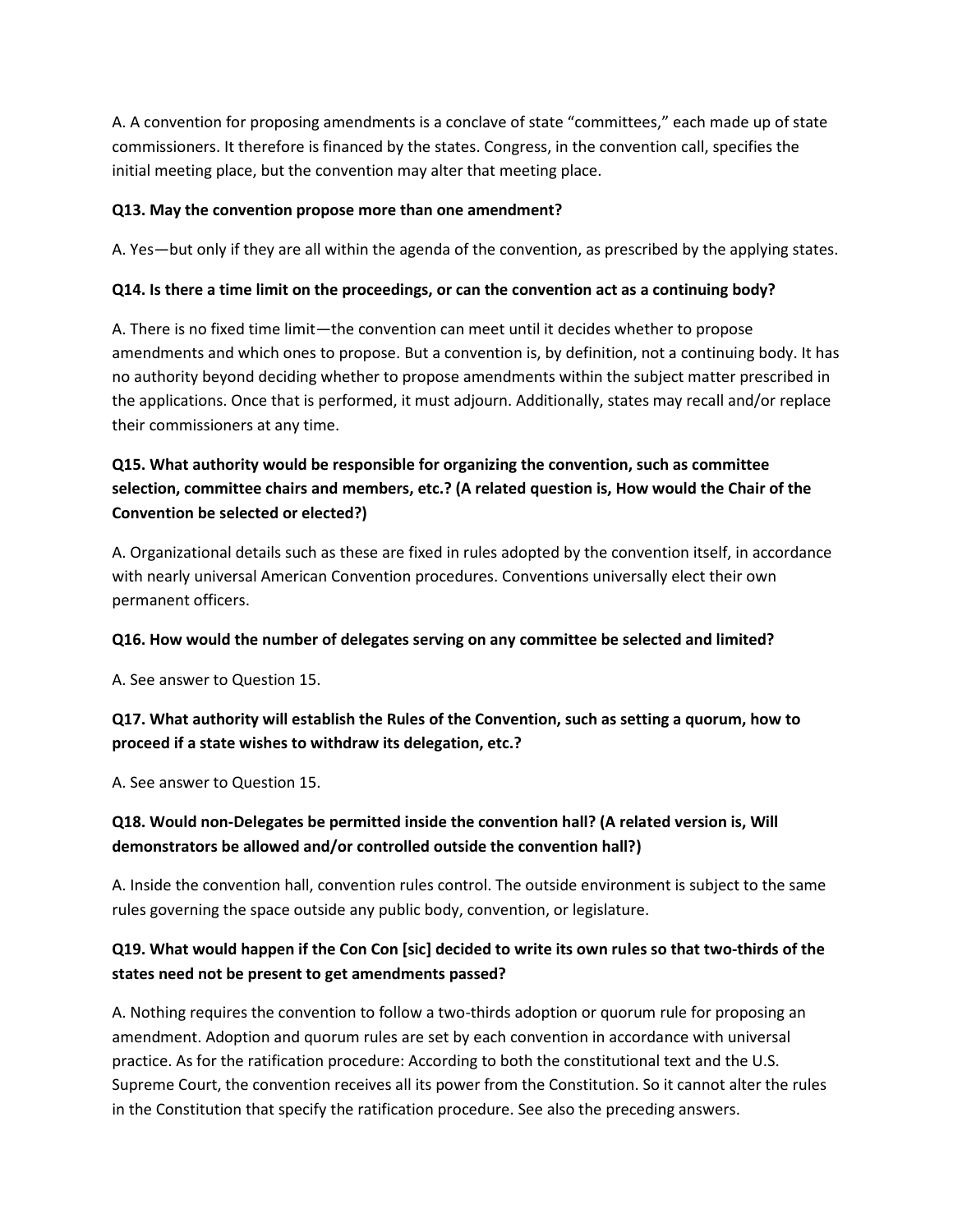A. A convention for proposing amendments is a conclave of state "committees," each made up of state commissioners. It therefore is financed by the states. Congress, in the convention call, specifies the initial meeting place, but the convention may alter that meeting place.

#### **Q13. May the convention propose more than one amendment?**

A. Yes—but only if they are all within the agenda of the convention, as prescribed by the applying states.

#### **Q14. Is there a time limit on the proceedings, or can the convention act as a continuing body?**

A. There is no fixed time limit—the convention can meet until it decides whether to propose amendments and which ones to propose. But a convention is, by definition, not a continuing body. It has no authority beyond deciding whether to propose amendments within the subject matter prescribed in the applications. Once that is performed, it must adjourn. Additionally, states may recall and/or replace their commissioners at any time.

## **Q15. What authority would be responsible for organizing the convention, such as committee selection, committee chairs and members, etc.? (A related question is, How would the Chair of the Convention be selected or elected?)**

A. Organizational details such as these are fixed in rules adopted by the convention itself, in accordance with nearly universal American Convention procedures. Conventions universally elect their own permanent officers.

#### **Q16. How would the number of delegates serving on any committee be selected and limited?**

A. See answer to Question 15.

## **Q17. What authority will establish the Rules of the Convention, such as setting a quorum, how to proceed if a state wishes to withdraw its delegation, etc.?**

A. See answer to Question 15.

## **Q18. Would non-Delegates be permitted inside the convention hall? (A related version is, Will demonstrators be allowed and/or controlled outside the convention hall?)**

A. Inside the convention hall, convention rules control. The outside environment is subject to the same rules governing the space outside any public body, convention, or legislature.

## **Q19. What would happen if the Con Con [sic] decided to write its own rules so that two-thirds of the states need not be present to get amendments passed?**

A. Nothing requires the convention to follow a two-thirds adoption or quorum rule for proposing an amendment. Adoption and quorum rules are set by each convention in accordance with universal practice. As for the ratification procedure: According to both the constitutional text and the U.S. Supreme Court, the convention receives all its power from the Constitution. So it cannot alter the rules in the Constitution that specify the ratification procedure. See also the preceding answers.